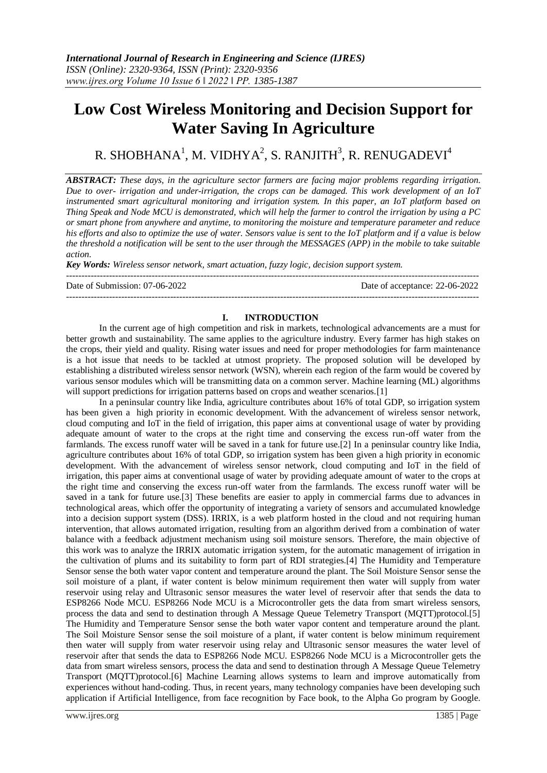# **Low Cost Wireless Monitoring and Decision Support for Water Saving In Agriculture**

R. SHOBHANA $^{\rm l}$ , M. VIDHYA $^{\rm 2}$ , S. RANJITH $^{\rm 3}$ , R. RENUGADEVI $^{\rm 4}$ 

*ABSTRACT: These days, in the agriculture sector farmers are facing major problems regarding irrigation. Due to over- irrigation and under-irrigation, the crops can be damaged. This work development of an IoT instrumented smart agricultural monitoring and irrigation system. In this paper, an IoT platform based on Thing Speak and Node MCU is demonstrated, which will help the farmer to control the irrigation by using a PC or smart phone from anywhere and anytime, to monitoring the moisture and temperature parameter and reduce his efforts and also to optimize the use of water. Sensors value is sent to the IoT platform and if a value is below the threshold a notification will be sent to the user through the MESSAGES (APP) in the mobile to take suitable action.*

*Key Words: Wireless sensor network, smart actuation, fuzzy logic, decision support system.*

--------------------------------------------------------------------------------------------------------------------------------------- Date of Submission: 07-06-2022 Date of acceptance: 22-06-2022 ---------------------------------------------------------------------------------------------------------------------------------------

## **I. INTRODUCTION**

In the current age of high competition and risk in markets, technological advancements are a must for better growth and sustainability. The same applies to the agriculture industry. Every farmer has high stakes on the crops, their yield and quality. Rising water issues and need for proper methodologies for farm maintenance is a hot issue that needs to be tackled at utmost propriety. The proposed solution will be developed by establishing a distributed wireless sensor network (WSN), wherein each region of the farm would be covered by various sensor modules which will be transmitting data on a common server. Machine learning (ML) algorithms will support predictions for irrigation patterns based on crops and weather scenarios. [1]

In a peninsular country like India, agriculture contributes about 16% of total GDP, so irrigation system has been given a high priority in economic development. With the advancement of wireless sensor network, cloud computing and IoT in the field of irrigation, this paper aims at conventional usage of water by providing adequate amount of water to the crops at the right time and conserving the excess run-off water from the farmlands. The excess runoff water will be saved in a tank for future use.[2] In a peninsular country like India, agriculture contributes about 16% of total GDP, so irrigation system has been given a high priority in economic development. With the advancement of wireless sensor network, cloud computing and IoT in the field of irrigation, this paper aims at conventional usage of water by providing adequate amount of water to the crops at the right time and conserving the excess run-off water from the farmlands. The excess runoff water will be saved in a tank for future use.[3] These benefits are easier to apply in commercial farms due to advances in technological areas, which offer the opportunity of integrating a variety of sensors and accumulated knowledge into a decision support system (DSS). IRRIX, is a web platform hosted in the cloud and not requiring human intervention, that allows automated irrigation, resulting from an algorithm derived from a combination of water balance with a feedback adjustment mechanism using soil moisture sensors. Therefore, the main objective of this work was to analyze the IRRIX automatic irrigation system, for the automatic management of irrigation in the cultivation of plums and its suitability to form part of RDI strategies.[4] The Humidity and Temperature Sensor sense the both water vapor content and temperature around the plant. The Soil Moisture Sensor sense the soil moisture of a plant, if water content is below minimum requirement then water will supply from water reservoir using relay and Ultrasonic sensor measures the water level of reservoir after that sends the data to ESP8266 Node MCU. ESP8266 Node MCU is a Microcontroller gets the data from smart wireless sensors, process the data and send to destination through A Message Queue Telemetry Transport (MQTT)protocol.[5] The Humidity and Temperature Sensor sense the both water vapor content and temperature around the plant. The Soil Moisture Sensor sense the soil moisture of a plant, if water content is below minimum requirement then water will supply from water reservoir using relay and Ultrasonic sensor measures the water level of reservoir after that sends the data to ESP8266 Node MCU. ESP8266 Node MCU is a Microcontroller gets the data from smart wireless sensors, process the data and send to destination through A Message Queue Telemetry Transport (MQTT)protocol.[6] Machine Learning allows systems to learn and improve automatically from experiences without hand-coding. Thus, in recent years, many technology companies have been developing such application if Artificial Intelligence, from face recognition by Face book, to the Alpha Go program by Google.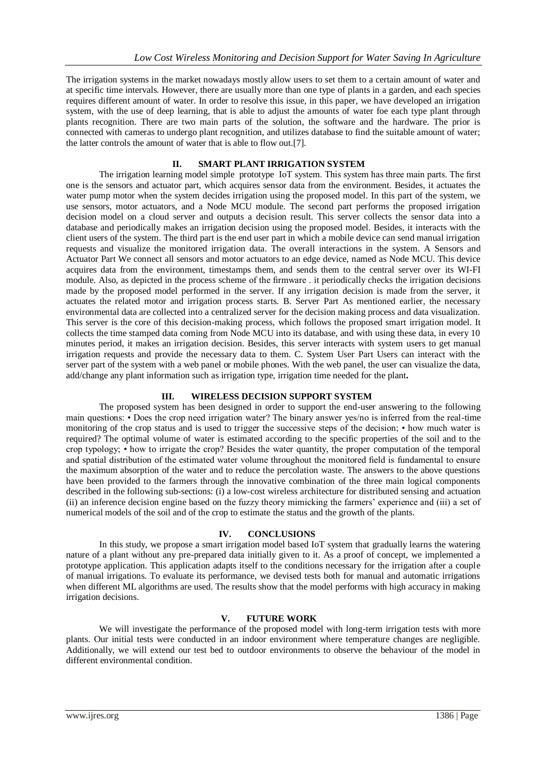The irrigation systems in the market nowadays mostly allow users to set them to a certain amount of water and at specific time intervals. However, there are usually more than one type of plants in a garden, and each species requires different amount of water. In order to resolve this issue, in this paper, we have developed an irrigation system, with the use of deep learning, that is able to adjust the amounts of water foe each type plant through plants recognition. There are two main parts of the solution, the software and the hardware. The prior is connected with cameras to undergo plant recognition, and utilizes database to find the suitable amount of water; the latter controls the amount of water that is able to flow out.[7].

## **II. SMART PLANT IRRIGATION SYSTEM**

The irrigation learning model simple prototype IoT system. This system has three main parts. The first one is the sensors and actuator part, which acquires sensor data from the environment. Besides, it actuates the water pump motor when the system decides irrigation using the proposed model. In this part of the system, we use sensors, motor actuators, and a Node MCU module. The second part performs the proposed irrigation decision model on a cloud server and outputs a decision result. This server collects the sensor data into a database and periodically makes an irrigation decision using the proposed model. Besides, it interacts with the client users of the system. The third part is the end user part in which a mobile device can send manual irrigation requests and visualize the monitored irrigation data. The overall interactions in the system. A Sensors and Actuator Part We connect all sensors and motor actuators to an edge device, named as Node MCU. This device acquires data from the environment, timestamps them, and sends them to the central server over its WI-FI module. Also, as depicted in the process scheme of the firmware . it periodically checks the irrigation decisions made by the proposed model performed in the server. If any irrigation decision is made from the server, it actuates the related motor and irrigation process starts. B. Server Part As mentioned earlier, the necessary environmental data are collected into a centralized server for the decision making process and data visualization. This server is the core of this decision-making process, which follows the proposed smart irrigation model. It collects the time stamped data coming from Node MCU into its database, and with using these data, in every 10 minutes period, it makes an irrigation decision. Besides, this server interacts with system users to get manual irrigation requests and provide the necessary data to them. C. System User Part Users can interact with the server part of the system with a web panel or mobile phones. With the web panel, the user can visualize the data, add/change any plant information such as irrigation type, irrigation time needed for the plant**.**

# **III. WIRELESS DECISION SUPPORT SYSTEM**

The proposed system has been designed in order to support the end-user answering to the following main questions: • Does the crop need irrigation water? The binary answer yes/no is inferred from the real-time monitoring of the crop status and is used to trigger the successive steps of the decision; • how much water is required? The optimal volume of water is estimated according to the specific properties of the soil and to the crop typology; • how to irrigate the crop? Besides the water quantity, the proper computation of the temporal and spatial distribution of the estimated water volume throughout the monitored field is fundamental to ensure the maximum absorption of the water and to reduce the percolation waste. The answers to the above questions have been provided to the farmers through the innovative combination of the three main logical components described in the following sub-sections: (i) a low-cost wireless architecture for distributed sensing and actuation (ii) an inference decision engine based on the fuzzy theory mimicking the farmers' experience and (iii) a set of numerical models of the soil and of the crop to estimate the status and the growth of the plants.

# **IV. CONCLUSIONS**

In this study, we propose a smart irrigation model based IoT system that gradually learns the watering nature of a plant without any pre-prepared data initially given to it. As a proof of concept, we implemented a prototype application. This application adapts itself to the conditions necessary for the irrigation after a couple of manual irrigations. To evaluate its performance, we devised tests both for manual and automatic irrigations when different ML algorithms are used. The results show that the model performs with high accuracy in making irrigation decisions.

# **V. FUTURE WORK**

We will investigate the performance of the proposed model with long-term irrigation tests with more plants. Our initial tests were conducted in an indoor environment where temperature changes are negligible. Additionally, we will extend our test bed to outdoor environments to observe the behaviour of the model in different environmental condition.